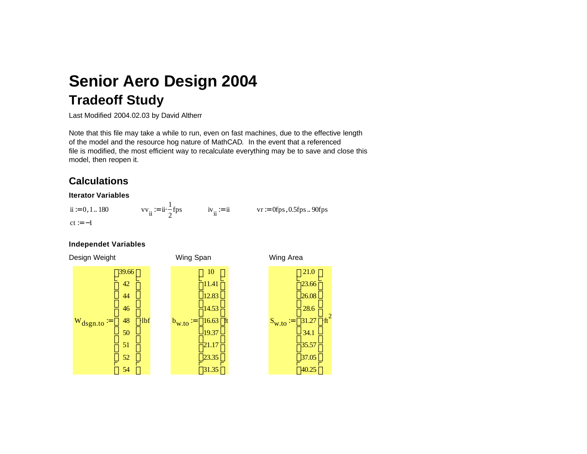# **Tradeoff Study Senior Aero Design 2004**

Last Modified 2004.02.03 by David Altherr

Note that this file may take a while to run, even on fast machines, due to the effective length of the model and the resource hog nature of MathCAD. In the event that a referenced file is modified, the most efficient way to recalculate everything may be to save and close this model, then reopen it.

# **Calculations**

#### **Iterator Variables**

 $ct := -1$  $vv_{ii} = ii \frac{1}{2}fps$   $iv_{ii} = ii$   $vr = 0fps, 0.5fps.$  90fps 2  $ii = 0, 1.. 180$   $vv_{1i} = ii - fps$ 

#### **Independet Variables**

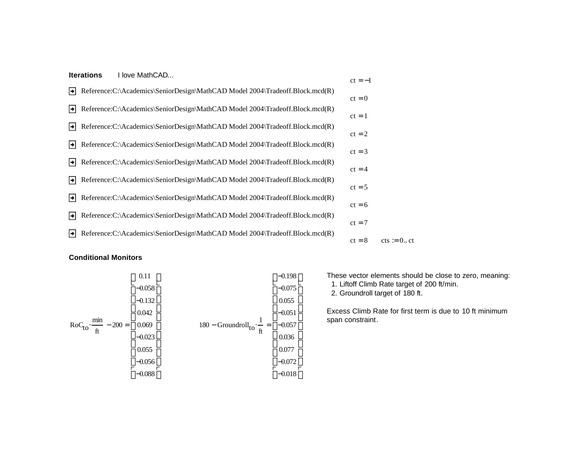|    | <b>Iterations</b><br>I love MathCAD                                            | $ct = -1$ |
|----|--------------------------------------------------------------------------------|-----------|
| ▸  | Reference: C: \Academics\SeniorDesign\MathCAD Model 2004\Tradeoff.Block.mcd(R) | $ct = 0$  |
| ⊧  | Reference:C:\Academics\SeniorDesign\MathCAD Model 2004\Tradeoff.Block.mcd(R)   | $ct = 1$  |
| →  | Reference:C:\Academics\SeniorDesign\MathCAD Model 2004\Tradeoff.Block.mcd(R)   | $ct = 2$  |
| ⊦⊧ | Reference:C:\Academics\SeniorDesign\MathCAD Model 2004\Tradeoff.Block.mcd(R)   | $ct = 3$  |
| ⊦⊧ | Reference: C: \Academics\SeniorDesign\MathCAD Model 2004\Tradeoff.Block.mcd(R) | $ct = 4$  |
| ∣→ | Reference: C:\Academics\SeniorDesign\MathCAD Model 2004\Tradeoff.Block.mcd(R)  | $ct = 5$  |
| ⊦⊧ | Reference:C:\Academics\SeniorDesign\MathCAD Model 2004\Tradeoff.Block.mcd(R)   | $ct = 6$  |
| ∣→ | Reference:C:\Academics\SeniorDesign\MathCAD Model 2004\Tradeoff.Block.mcd(R)   | $ct = 7$  |
| ∣→ | Reference:C:\Academics\SeniorDesign\MathCAD Model 2004\Tradeoff.Block.mcd(R)   | $ct = 8$  |
|    |                                                                                |           |

## **Conditional Monitors**



These vector elements should be close to zero, meaning: 1. Liftoff Climb Rate target of 200 ft/min. 2. Groundroll target of 180 ft.

 $cts := 0..ct$ 

Excess Climb Rate for first term is due to 10 ft minimum span constraint.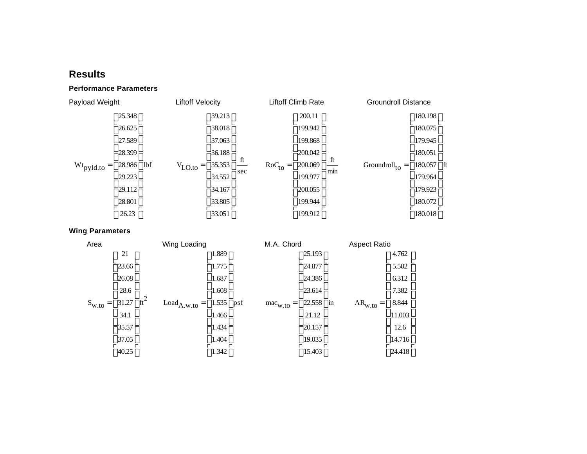## **Results**

## **Performance Parameters**



**Wing Parameters**

| Area              | Wing Loading |                                            | M.A. Chord |                            |        | <b>Aspect Ratio</b>        |       |        |        |
|-------------------|--------------|--------------------------------------------|------------|----------------------------|--------|----------------------------|-------|--------|--------|
|                   | 21           | $\int_{\text{ft}}^{2}$<br>$Load_{A.w. to}$ | 1.889      |                            |        | 25.193                     |       |        | 4.762  |
|                   | 23.66        |                                            | 1.775      |                            |        | 24.877                     |       | 5.502  |        |
|                   | 26.08        |                                            | 1.687      |                            |        | 24.386                     |       |        | 6.312  |
|                   | 28.6         |                                            | 1.608      |                            |        | 23.614                     |       |        | 7.382  |
| $S_{w,t0}$<br>$=$ | 31.27        |                                            | 1.535      | psf<br>$mac_{W,to}$<br>$=$ | 22.558 | in<br>$AR_{w.to} =$<br>$=$ | 8.844 |        |        |
|                   | 34.1         |                                            | 1.466      |                            |        | 21.12                      |       | 11.003 |        |
|                   | 35.57        |                                            | 1.434      |                            | 20.157 |                            |       | 12.6   |        |
|                   | 37.05        |                                            | 1.404      |                            | 19.035 |                            |       | 14.716 |        |
|                   | 40.25        |                                            | 1.342      |                            |        | 15.403                     |       |        | 24.418 |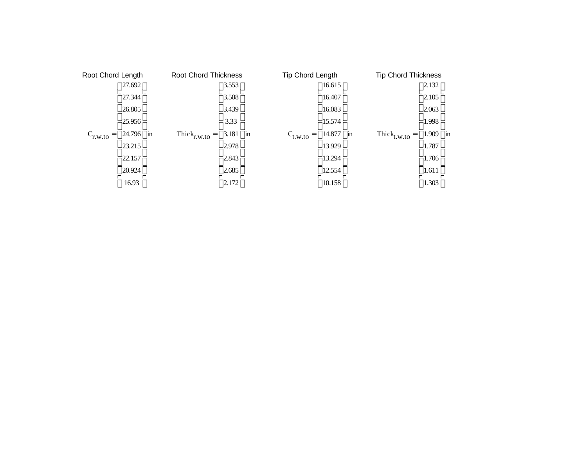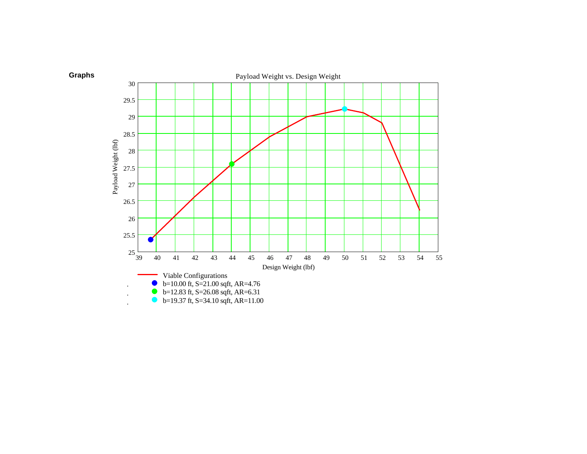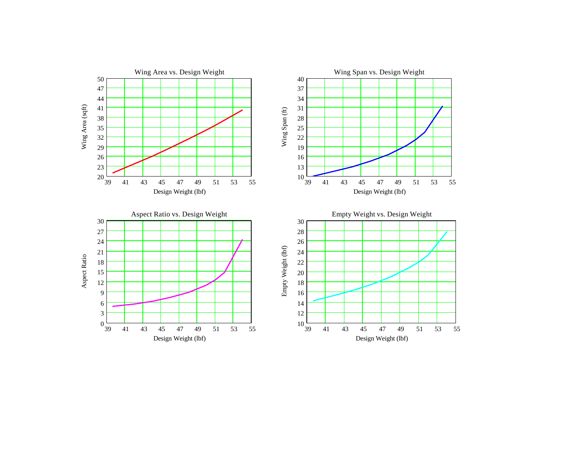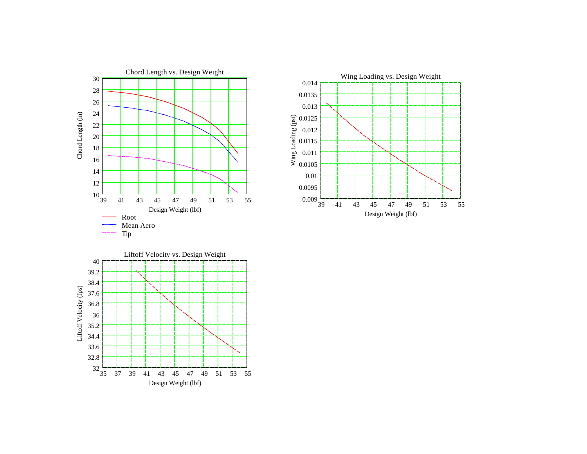



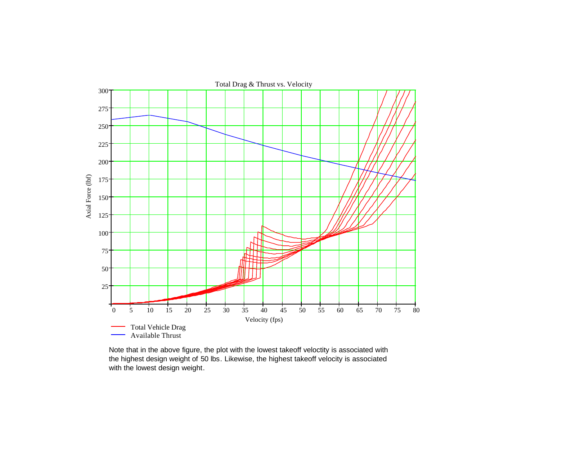

Note that in the above figure, the plot with the lowest takeoff veloctity is associated with the highest design weight of 50 lbs. Likewise, the highest takeoff velocity is associated with the lowest design weight.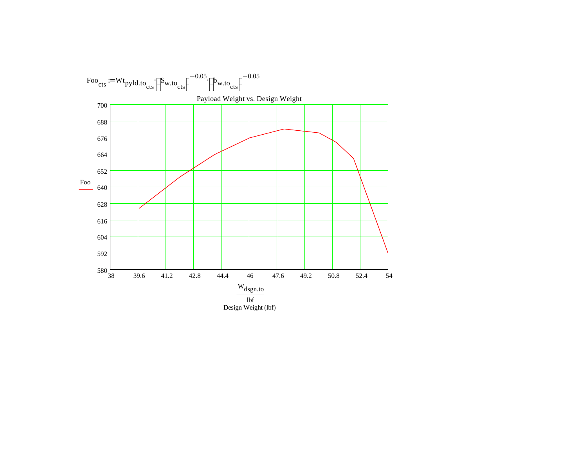